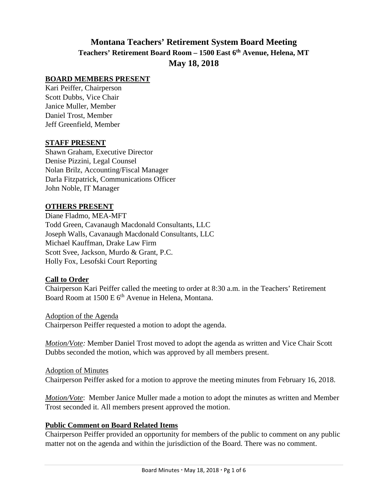# **Montana Teachers' Retirement System Board Meeting Teachers' Retirement Board Room – 1500 East 6th Avenue, Helena, MT May 18, 2018**

#### **BOARD MEMBERS PRESENT**

Kari Peiffer, Chairperson Scott Dubbs, Vice Chair Janice Muller, Member Daniel Trost, Member Jeff Greenfield, Member

#### **STAFF PRESENT**

Shawn Graham, Executive Director Denise Pizzini, Legal Counsel Nolan Brilz, Accounting/Fiscal Manager Darla Fitzpatrick, Communications Officer John Noble, IT Manager

#### **OTHERS PRESENT**

Diane Fladmo, MEA-MFT Todd Green, Cavanaugh Macdonald Consultants, LLC Joseph Walls, Cavanaugh Macdonald Consultants, LLC Michael Kauffman, Drake Law Firm Scott Svee, Jackson, Murdo & Grant, P.C. Holly Fox, Lesofski Court Reporting

#### **Call to Order**

Chairperson Kari Peiffer called the meeting to order at 8:30 a.m. in the Teachers' Retirement Board Room at 1500 E 6<sup>th</sup> Avenue in Helena, Montana.

Adoption of the Agenda Chairperson Peiffer requested a motion to adopt the agenda.

*Motion/Vote:* Member Daniel Trost moved to adopt the agenda as written and Vice Chair Scott Dubbs seconded the motion, which was approved by all members present.

Adoption of Minutes Chairperson Peiffer asked for a motion to approve the meeting minutes from February 16, 2018.

*Motion/Vote*: Member Janice Muller made a motion to adopt the minutes as written and Member Trost seconded it. All members present approved the motion.

#### **Public Comment on Board Related Items**

Chairperson Peiffer provided an opportunity for members of the public to comment on any public matter not on the agenda and within the jurisdiction of the Board. There was no comment.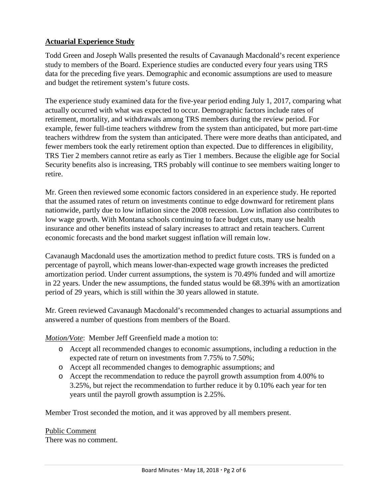# **Actuarial Experience Study**

Todd Green and Joseph Walls presented the results of Cavanaugh Macdonald's recent experience study to members of the Board. Experience studies are conducted every four years using TRS data for the preceding five years. Demographic and economic assumptions are used to measure and budget the retirement system's future costs.

The experience study examined data for the five-year period ending July 1, 2017, comparing what actually occurred with what was expected to occur. Demographic factors include rates of retirement, mortality, and withdrawals among TRS members during the review period. For example, fewer full-time teachers withdrew from the system than anticipated, but more part-time teachers withdrew from the system than anticipated. There were more deaths than anticipated, and fewer members took the early retirement option than expected. Due to differences in eligibility, TRS Tier 2 members cannot retire as early as Tier 1 members. Because the eligible age for Social Security benefits also is increasing, TRS probably will continue to see members waiting longer to retire.

Mr. Green then reviewed some economic factors considered in an experience study. He reported that the assumed rates of return on investments continue to edge downward for retirement plans nationwide, partly due to low inflation since the 2008 recession. Low inflation also contributes to low wage growth. With Montana schools continuing to face budget cuts, many use health insurance and other benefits instead of salary increases to attract and retain teachers. Current economic forecasts and the bond market suggest inflation will remain low.

Cavanaugh Macdonald uses the amortization method to predict future costs. TRS is funded on a percentage of payroll, which means lower-than-expected wage growth increases the predicted amortization period. Under current assumptions, the system is 70.49% funded and will amortize in 22 years. Under the new assumptions, the funded status would be 68.39% with an amortization period of 29 years, which is still within the 30 years allowed in statute.

Mr. Green reviewed Cavanaugh Macdonald's recommended changes to actuarial assumptions and answered a number of questions from members of the Board.

*Motion/Vote*: Member Jeff Greenfield made a motion to:

- o Accept all recommended changes to economic assumptions, including a reduction in the expected rate of return on investments from 7.75% to 7.50%;
- o Accept all recommended changes to demographic assumptions; and
- o Accept the recommendation to reduce the payroll growth assumption from 4.00% to 3.25%, but reject the recommendation to further reduce it by 0.10% each year for ten years until the payroll growth assumption is 2.25%.

Member Trost seconded the motion, and it was approved by all members present.

Public Comment There was no comment.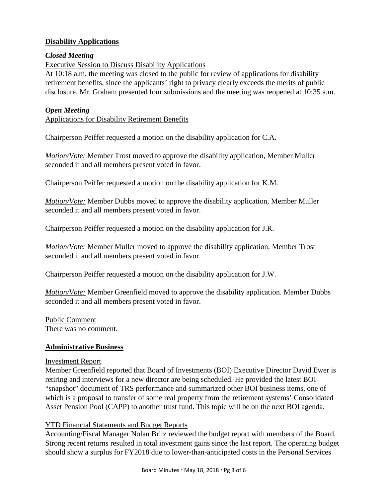# **Disability Applications**

#### *Closed Meeting*

Executive Session to Discuss Disability Applications

At 10:18 a.m. the meeting was closed to the public for review of applications for disability retirement benefits, since the applicants' right to privacy clearly exceeds the merits of public disclosure. Mr. Graham presented four submissions and the meeting was reopened at 10:35 a.m.

#### *Open Meeting*

Applications for Disability Retirement Benefits

Chairperson Peiffer requested a motion on the disability application for C.A.

*Motion/Vote:* Member Trost moved to approve the disability application, Member Muller seconded it and all members present voted in favor.

Chairperson Peiffer requested a motion on the disability application for K.M.

*Motion/Vote:* Member Dubbs moved to approve the disability application, Member Muller seconded it and all members present voted in favor.

Chairperson Peiffer requested a motion on the disability application for J.R.

*Motion/Vote:* Member Muller moved to approve the disability application. Member Trost seconded it and all members present voted in favor.

Chairperson Peiffer requested a motion on the disability application for J.W.

*Motion/Vote:* Member Greenfield moved to approve the disability application. Member Dubbs seconded it and all members present voted in favor.

Public Comment There was no comment.

#### **Administrative Business**

#### Investment Report

Member Greenfield reported that Board of Investments (BOI) Executive Director David Ewer is retiring and interviews for a new director are being scheduled. He provided the latest BOI "snapshot" document of TRS performance and summarized other BOI business items, one of which is a proposal to transfer of some real property from the retirement systems' Consolidated Asset Pension Pool (CAPP) to another trust fund. This topic will be on the next BOI agenda.

#### YTD Financial Statements and Budget Reports

Accounting/Fiscal Manager Nolan Brilz reviewed the budget report with members of the Board. Strong recent returns resulted in total investment gains since the last report. The operating budget should show a surplus for FY2018 due to lower-than-anticipated costs in the Personal Services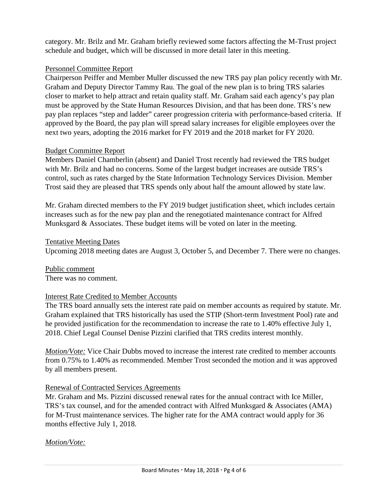category. Mr. Brilz and Mr. Graham briefly reviewed some factors affecting the M-Trust project schedule and budget, which will be discussed in more detail later in this meeting.

## Personnel Committee Report

Chairperson Peiffer and Member Muller discussed the new TRS pay plan policy recently with Mr. Graham and Deputy Director Tammy Rau. The goal of the new plan is to bring TRS salaries closer to market to help attract and retain quality staff. Mr. Graham said each agency's pay plan must be approved by the State Human Resources Division, and that has been done. TRS's new pay plan replaces "step and ladder" career progression criteria with performance-based criteria. If approved by the Board, the pay plan will spread salary increases for eligible employees over the next two years, adopting the 2016 market for FY 2019 and the 2018 market for FY 2020.

## Budget Committee Report

Members Daniel Chamberlin (absent) and Daniel Trost recently had reviewed the TRS budget with Mr. Brilz and had no concerns. Some of the largest budget increases are outside TRS's control, such as rates charged by the State Information Technology Services Division. Member Trost said they are pleased that TRS spends only about half the amount allowed by state law.

Mr. Graham directed members to the FY 2019 budget justification sheet, which includes certain increases such as for the new pay plan and the renegotiated maintenance contract for Alfred Munksgard & Associates. These budget items will be voted on later in the meeting.

## Tentative Meeting Dates

Upcoming 2018 meeting dates are August 3, October 5, and December 7. There were no changes.

Public comment There was no comment.

## Interest Rate Credited to Member Accounts

The TRS board annually sets the interest rate paid on member accounts as required by statute. Mr. Graham explained that TRS historically has used the STIP (Short-term Investment Pool) rate and he provided justification for the recommendation to increase the rate to 1.40% effective July 1, 2018. Chief Legal Counsel Denise Pizzini clarified that TRS credits interest monthly.

*Motion/Vote:* Vice Chair Dubbs moved to increase the interest rate credited to member accounts from 0.75% to 1.40% as recommended. Member Trost seconded the motion and it was approved by all members present.

## Renewal of Contracted Services Agreements

Mr. Graham and Ms. Pizzini discussed renewal rates for the annual contract with Ice Miller, TRS's tax counsel, and for the amended contract with Alfred Munksgard & Associates (AMA) for M-Trust maintenance services. The higher rate for the AMA contract would apply for 36 months effective July 1, 2018.

# *Motion/Vote:*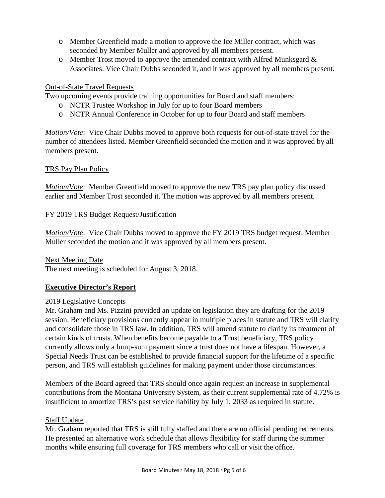- o Member Greenfield made a motion to approve the Ice Miller contract, which was seconded by Member Muller and approved by all members present.
- $\circ$  Member Trost moved to approve the amended contract with Alfred Munksgard & Associates. Vice Chair Dubbs seconded it, and it was approved by all members present.

## Out-of-State Travel Requests

Two upcoming events provide training opportunities for Board and staff members:

- o NCTR Trustee Workshop in July for up to four Board members
- o NCTR Annual Conference in October for up to four Board and staff members

*Motion/Vote*: Vice Chair Dubbs moved to approve both requests for out-of-state travel for the number of attendees listed. Member Greenfield seconded the motion and it was approved by all members present.

# TRS Pay Plan Policy

*Motion/Vote*: Member Greenfield moved to approve the new TRS pay plan policy discussed earlier and Member Trost seconded it. The motion was approved by all members present.

# FY 2019 TRS Budget Request/Justification

*Motion/Vote*: Vice Chair Dubbs moved to approve the FY 2019 TRS budget request. Member Muller seconded the motion and it was approved by all members present.

## Next Meeting Date

The next meeting is scheduled for August 3, 2018.

# **Executive Director's Report**

## 2019 Legislative Concepts

Mr. Graham and Ms. Pizzini provided an update on legislation they are drafting for the 2019 session. Beneficiary provisions currently appear in multiple places in statute and TRS will clarify and consolidate those in TRS law. In addition, TRS will amend statute to clarify its treatment of certain kinds of trusts. When benefits become payable to a Trust beneficiary, TRS policy currently allows only a lump-sum payment since a trust does not have a lifespan. However, a Special Needs Trust can be established to provide financial support for the lifetime of a specific person, and TRS will establish guidelines for making payment under those circumstances.

Members of the Board agreed that TRS should once again request an increase in supplemental contributions from the Montana University System, as their current supplemental rate of 4.72% is insufficient to amortize TRS's past service liability by July 1, 2033 as required in statute.

## Staff Update

Mr. Graham reported that TRS is still fully staffed and there are no official pending retirements. He presented an alternative work schedule that allows flexibility for staff during the summer months while ensuring full coverage for TRS members who call or visit the office.